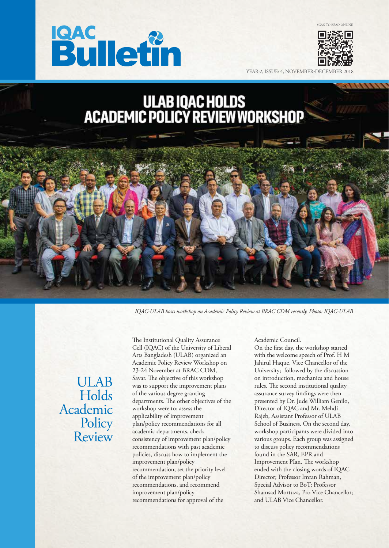



YEAR:2, ISSUE: 4, NOVEMBER-DE

# ULAB IQAC HOLDS<br>ACADEMIC POLICY REVIEW WORKSHOP



*IQAC-ULAB hosts workshop on Academic Policy Review at BRAC CDM recently. Photo: IQAC-ULAB*

# ULAB Holds Academic **Policy** Review

The Institutional Quality Assurance Cell (IQAC) of the University of Liberal Arts Bangladesh (ULAB) organized an Academic Policy Review Workshop on 23-24 November at BRAC CDM, Savar. The objective of this workshop was to support the improvement plans of the various degree granting departments. The other objectives of the workshop were to: assess the applicability of improvement plan/policy recommendations for all academic departments, check consistency of improvement plan/policy recommendations with past academic policies, discuss how to implement the improvement plan/policy recommendation, set the priority level of the improvement plan/policy recommendations, and recommend improvement plan/policy recommendations for approval of the

Academic Council.

On the first day, the workshop started with the welcome speech of Prof. H M Jahirul Haque, Vice Chancellor of the University; followed by the discussion on introduction, mechanics and house rules. The second institutional quality assurance survey findings were then presented by Dr. Jude William Genilo, Director of IQAC and Mr. Mehdi Rajeb, Assistant Professor of ULAB School of Business. On the second day, workshop participants were divided into various groups. Each group was assigned to discuss policy recommendations found in the SAR, EPR and Improvement PIan. The workshop ended with the closing words of IQAC Director; Professor Imran Rahman, Special Advisor to BoT; Professor Shamsad Mortuza, Pro Vice Chancellor; and ULAB Vice Chancellor.